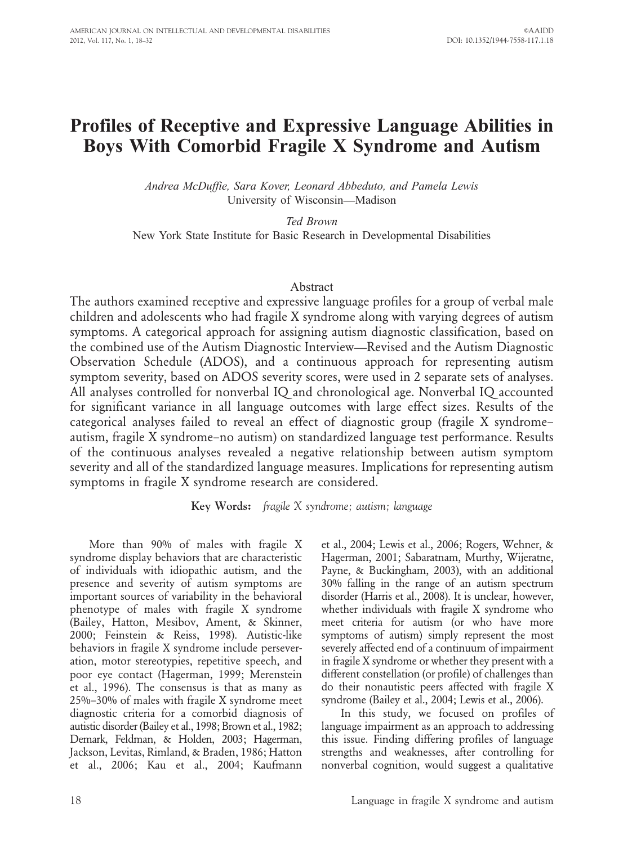# Profiles of Receptive and Expressive Language Abilities in Boys With Comorbid Fragile X Syndrome and Autism

Andrea McDuffie, Sara Kover, Leonard Abbeduto, and Pamela Lewis University of Wisconsin—Madison

Ted Brown New York State Institute for Basic Research in Developmental Disabilities

#### Abstract

The authors examined receptive and expressive language profiles for a group of verbal male children and adolescents who had fragile X syndrome along with varying degrees of autism symptoms. A categorical approach for assigning autism diagnostic classification, based on the combined use of the Autism Diagnostic Interview—Revised and the Autism Diagnostic Observation Schedule (ADOS), and a continuous approach for representing autism symptom severity, based on ADOS severity scores, were used in 2 separate sets of analyses. All analyses controlled for nonverbal IQ and chronological age. Nonverbal IQ accounted for significant variance in all language outcomes with large effect sizes. Results of the categorical analyses failed to reveal an effect of diagnostic group (fragile X syndrome– autism, fragile X syndrome–no autism) on standardized language test performance. Results of the continuous analyses revealed a negative relationship between autism symptom severity and all of the standardized language measures. Implications for representing autism symptoms in fragile X syndrome research are considered.

Key Words: fragile X syndrome; autism; language

More than 90% of males with fragile X syndrome display behaviors that are characteristic of individuals with idiopathic autism, and the presence and severity of autism symptoms are important sources of variability in the behavioral phenotype of males with fragile X syndrome (Bailey, Hatton, Mesibov, Ament, & Skinner, 2000; Feinstein & Reiss, 1998). Autistic-like behaviors in fragile X syndrome include perseveration, motor stereotypies, repetitive speech, and poor eye contact (Hagerman, 1999; Merenstein et al., 1996). The consensus is that as many as 25%–30% of males with fragile X syndrome meet diagnostic criteria for a comorbid diagnosis of autistic disorder (Bailey et al., 1998; Brown et al., 1982; Demark, Feldman, & Holden, 2003; Hagerman, Jackson, Levitas, Rimland, & Braden, 1986; Hatton et al., 2006; Kau et al., 2004; Kaufmann

et al., 2004; Lewis et al., 2006; Rogers, Wehner, & Hagerman, 2001; Sabaratnam, Murthy, Wijeratne, Payne, & Buckingham, 2003), with an additional 30% falling in the range of an autism spectrum disorder (Harris et al., 2008). It is unclear, however, whether individuals with fragile X syndrome who meet criteria for autism (or who have more symptoms of autism) simply represent the most severely affected end of a continuum of impairment in fragile X syndrome or whether they present with a different constellation (or profile) of challenges than do their nonautistic peers affected with fragile X syndrome (Bailey et al., 2004; Lewis et al., 2006).

In this study, we focused on profiles of language impairment as an approach to addressing this issue. Finding differing profiles of language strengths and weaknesses, after controlling for nonverbal cognition, would suggest a qualitative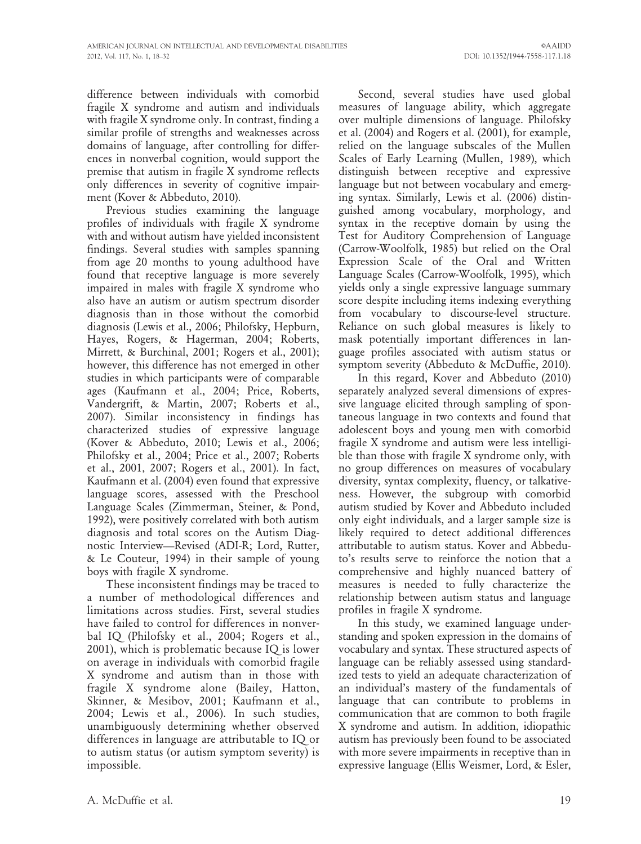difference between individuals with comorbid fragile X syndrome and autism and individuals with fragile X syndrome only. In contrast, finding a similar profile of strengths and weaknesses across domains of language, after controlling for differences in nonverbal cognition, would support the premise that autism in fragile X syndrome reflects only differences in severity of cognitive impairment (Kover & Abbeduto, 2010).

Previous studies examining the language profiles of individuals with fragile X syndrome with and without autism have yielded inconsistent findings. Several studies with samples spanning from age 20 months to young adulthood have found that receptive language is more severely impaired in males with fragile X syndrome who also have an autism or autism spectrum disorder diagnosis than in those without the comorbid diagnosis (Lewis et al., 2006; Philofsky, Hepburn, Hayes, Rogers, & Hagerman, 2004; Roberts, Mirrett, & Burchinal, 2001; Rogers et al., 2001); however, this difference has not emerged in other studies in which participants were of comparable ages (Kaufmann et al., 2004; Price, Roberts, Vandergrift, & Martin, 2007; Roberts et al., 2007). Similar inconsistency in findings has characterized studies of expressive language (Kover & Abbeduto, 2010; Lewis et al., 2006; Philofsky et al., 2004; Price et al., 2007; Roberts et al., 2001, 2007; Rogers et al., 2001). In fact, Kaufmann et al. (2004) even found that expressive language scores, assessed with the Preschool Language Scales (Zimmerman, Steiner, & Pond, 1992), were positively correlated with both autism diagnosis and total scores on the Autism Diagnostic Interview—Revised (ADI-R; Lord, Rutter, & Le Couteur, 1994) in their sample of young boys with fragile X syndrome.

These inconsistent findings may be traced to a number of methodological differences and limitations across studies. First, several studies have failed to control for differences in nonverbal IQ (Philofsky et al., 2004; Rogers et al., 2001), which is problematic because IQ is lower on average in individuals with comorbid fragile X syndrome and autism than in those with fragile X syndrome alone (Bailey, Hatton, Skinner, & Mesibov, 2001; Kaufmann et al., 2004; Lewis et al., 2006). In such studies, unambiguously determining whether observed differences in language are attributable to IQ or to autism status (or autism symptom severity) is impossible.

Second, several studies have used global measures of language ability, which aggregate over multiple dimensions of language. Philofsky et al. (2004) and Rogers et al. (2001), for example, relied on the language subscales of the Mullen Scales of Early Learning (Mullen, 1989), which distinguish between receptive and expressive language but not between vocabulary and emerging syntax. Similarly, Lewis et al. (2006) distinguished among vocabulary, morphology, and syntax in the receptive domain by using the Test for Auditory Comprehension of Language (Carrow-Woolfolk, 1985) but relied on the Oral Expression Scale of the Oral and Written Language Scales (Carrow-Woolfolk, 1995), which yields only a single expressive language summary score despite including items indexing everything from vocabulary to discourse-level structure. Reliance on such global measures is likely to mask potentially important differences in language profiles associated with autism status or symptom severity (Abbeduto & McDuffie, 2010).

In this regard, Kover and Abbeduto (2010) separately analyzed several dimensions of expressive language elicited through sampling of spontaneous language in two contexts and found that adolescent boys and young men with comorbid fragile X syndrome and autism were less intelligible than those with fragile X syndrome only, with no group differences on measures of vocabulary diversity, syntax complexity, fluency, or talkativeness. However, the subgroup with comorbid autism studied by Kover and Abbeduto included only eight individuals, and a larger sample size is likely required to detect additional differences attributable to autism status. Kover and Abbeduto's results serve to reinforce the notion that a comprehensive and highly nuanced battery of measures is needed to fully characterize the relationship between autism status and language profiles in fragile X syndrome.

In this study, we examined language understanding and spoken expression in the domains of vocabulary and syntax. These structured aspects of language can be reliably assessed using standardized tests to yield an adequate characterization of an individual's mastery of the fundamentals of language that can contribute to problems in communication that are common to both fragile X syndrome and autism. In addition, idiopathic autism has previously been found to be associated with more severe impairments in receptive than in expressive language (Ellis Weismer, Lord, & Esler,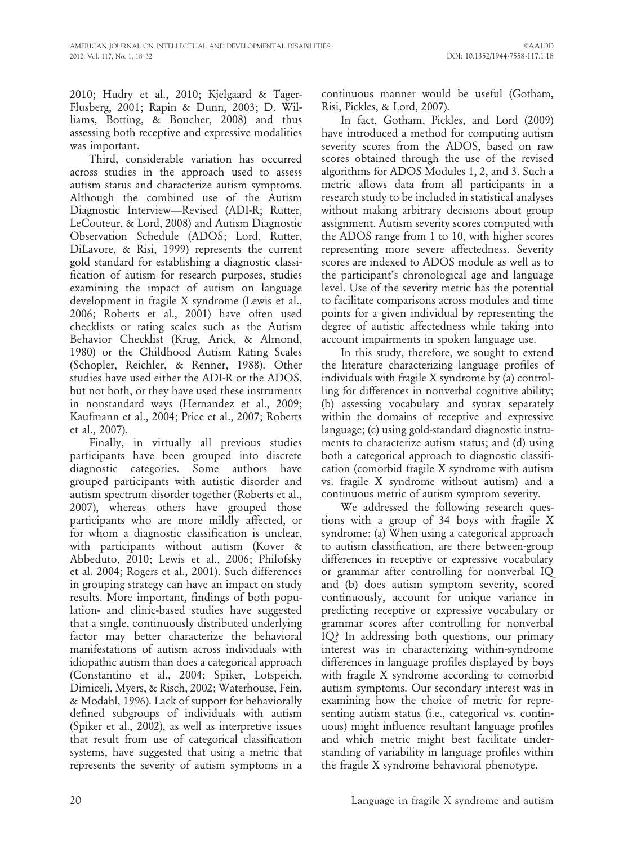2010; Hudry et al., 2010; Kjelgaard & Tager-Flusberg, 2001; Rapin & Dunn, 2003; D. Williams, Botting, & Boucher, 2008) and thus assessing both receptive and expressive modalities was important.

Third, considerable variation has occurred across studies in the approach used to assess autism status and characterize autism symptoms. Although the combined use of the Autism Diagnostic Interview—Revised (ADI-R; Rutter, LeCouteur, & Lord, 2008) and Autism Diagnostic Observation Schedule (ADOS; Lord, Rutter, DiLavore, & Risi, 1999) represents the current gold standard for establishing a diagnostic classification of autism for research purposes, studies examining the impact of autism on language development in fragile X syndrome (Lewis et al., 2006; Roberts et al., 2001) have often used checklists or rating scales such as the Autism Behavior Checklist (Krug, Arick, & Almond, 1980) or the Childhood Autism Rating Scales (Schopler, Reichler, & Renner, 1988). Other studies have used either the ADI-R or the ADOS, but not both, or they have used these instruments in nonstandard ways (Hernandez et al., 2009; Kaufmann et al., 2004; Price et al., 2007; Roberts et al., 2007).

Finally, in virtually all previous studies participants have been grouped into discrete diagnostic categories. Some authors have grouped participants with autistic disorder and autism spectrum disorder together (Roberts et al., 2007), whereas others have grouped those participants who are more mildly affected, or for whom a diagnostic classification is unclear, with participants without autism (Kover & Abbeduto, 2010; Lewis et al., 2006; Philofsky et al. 2004; Rogers et al., 2001). Such differences in grouping strategy can have an impact on study results. More important, findings of both population- and clinic-based studies have suggested that a single, continuously distributed underlying factor may better characterize the behavioral manifestations of autism across individuals with idiopathic autism than does a categorical approach (Constantino et al., 2004; Spiker, Lotspeich, Dimiceli, Myers, & Risch, 2002; Waterhouse, Fein, & Modahl, 1996). Lack of support for behaviorally defined subgroups of individuals with autism (Spiker et al., 2002), as well as interpretive issues that result from use of categorical classification systems, have suggested that using a metric that represents the severity of autism symptoms in a

continuous manner would be useful (Gotham, Risi, Pickles, & Lord, 2007).

In fact, Gotham, Pickles, and Lord (2009) have introduced a method for computing autism severity scores from the ADOS, based on raw scores obtained through the use of the revised algorithms for ADOS Modules 1, 2, and 3. Such a metric allows data from all participants in a research study to be included in statistical analyses without making arbitrary decisions about group assignment. Autism severity scores computed with the ADOS range from 1 to 10, with higher scores representing more severe affectedness. Severity scores are indexed to ADOS module as well as to the participant's chronological age and language level. Use of the severity metric has the potential to facilitate comparisons across modules and time points for a given individual by representing the degree of autistic affectedness while taking into account impairments in spoken language use.

In this study, therefore, we sought to extend the literature characterizing language profiles of individuals with fragile X syndrome by (a) controlling for differences in nonverbal cognitive ability; (b) assessing vocabulary and syntax separately within the domains of receptive and expressive language; (c) using gold-standard diagnostic instruments to characterize autism status; and (d) using both a categorical approach to diagnostic classification (comorbid fragile X syndrome with autism vs. fragile X syndrome without autism) and a continuous metric of autism symptom severity.

We addressed the following research questions with a group of 34 boys with fragile X syndrome: (a) When using a categorical approach to autism classification, are there between-group differences in receptive or expressive vocabulary or grammar after controlling for nonverbal IQ and (b) does autism symptom severity, scored continuously, account for unique variance in predicting receptive or expressive vocabulary or grammar scores after controlling for nonverbal IQ? In addressing both questions, our primary interest was in characterizing within-syndrome differences in language profiles displayed by boys with fragile X syndrome according to comorbid autism symptoms. Our secondary interest was in examining how the choice of metric for representing autism status (i.e., categorical vs. continuous) might influence resultant language profiles and which metric might best facilitate understanding of variability in language profiles within the fragile X syndrome behavioral phenotype.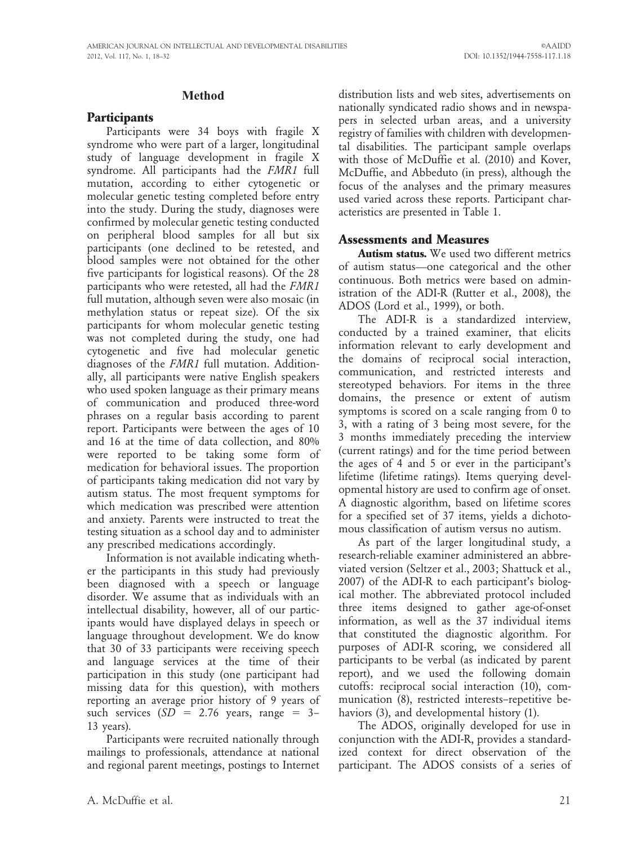## Method

#### **Participants**

Participants were 34 boys with fragile X syndrome who were part of a larger, longitudinal study of language development in fragile X syndrome. All participants had the FMR1 full mutation, according to either cytogenetic or molecular genetic testing completed before entry into the study. During the study, diagnoses were confirmed by molecular genetic testing conducted on peripheral blood samples for all but six participants (one declined to be retested, and blood samples were not obtained for the other five participants for logistical reasons). Of the 28 participants who were retested, all had the FMR1 full mutation, although seven were also mosaic (in methylation status or repeat size). Of the six participants for whom molecular genetic testing was not completed during the study, one had cytogenetic and five had molecular genetic diagnoses of the FMR1 full mutation. Additionally, all participants were native English speakers who used spoken language as their primary means of communication and produced three-word phrases on a regular basis according to parent report. Participants were between the ages of 10 and 16 at the time of data collection, and 80% were reported to be taking some form of medication for behavioral issues. The proportion of participants taking medication did not vary by autism status. The most frequent symptoms for which medication was prescribed were attention and anxiety. Parents were instructed to treat the testing situation as a school day and to administer any prescribed medications accordingly.

Information is not available indicating whether the participants in this study had previously been diagnosed with a speech or language disorder. We assume that as individuals with an intellectual disability, however, all of our participants would have displayed delays in speech or language throughout development. We do know that 30 of 33 participants were receiving speech and language services at the time of their participation in this study (one participant had missing data for this question), with mothers reporting an average prior history of 9 years of such services  $(SD = 2.76$  years, range = 3-13 years).

Participants were recruited nationally through mailings to professionals, attendance at national and regional parent meetings, postings to Internet distribution lists and web sites, advertisements on nationally syndicated radio shows and in newspapers in selected urban areas, and a university registry of families with children with developmental disabilities. The participant sample overlaps with those of McDuffie et al. (2010) and Kover, McDuffie, and Abbeduto (in press), although the focus of the analyses and the primary measures used varied across these reports. Participant characteristics are presented in Table 1.

## Assessments and Measures

Autism status. We used two different metrics of autism status—one categorical and the other continuous. Both metrics were based on administration of the ADI-R (Rutter et al., 2008), the ADOS (Lord et al., 1999), or both.

The ADI-R is a standardized interview, conducted by a trained examiner, that elicits information relevant to early development and the domains of reciprocal social interaction, communication, and restricted interests and stereotyped behaviors. For items in the three domains, the presence or extent of autism symptoms is scored on a scale ranging from 0 to 3, with a rating of 3 being most severe, for the 3 months immediately preceding the interview (current ratings) and for the time period between the ages of 4 and 5 or ever in the participant's lifetime (lifetime ratings). Items querying developmental history are used to confirm age of onset. A diagnostic algorithm, based on lifetime scores for a specified set of 37 items, yields a dichotomous classification of autism versus no autism.

As part of the larger longitudinal study, a research-reliable examiner administered an abbreviated version (Seltzer et al., 2003; Shattuck et al., 2007) of the ADI-R to each participant's biological mother. The abbreviated protocol included three items designed to gather age-of-onset information, as well as the 37 individual items that constituted the diagnostic algorithm. For purposes of ADI-R scoring, we considered all participants to be verbal (as indicated by parent report), and we used the following domain cutoffs: reciprocal social interaction (10), communication (8), restricted interests–repetitive behaviors (3), and developmental history (1).

The ADOS, originally developed for use in conjunction with the ADI-R, provides a standardized context for direct observation of the participant. The ADOS consists of a series of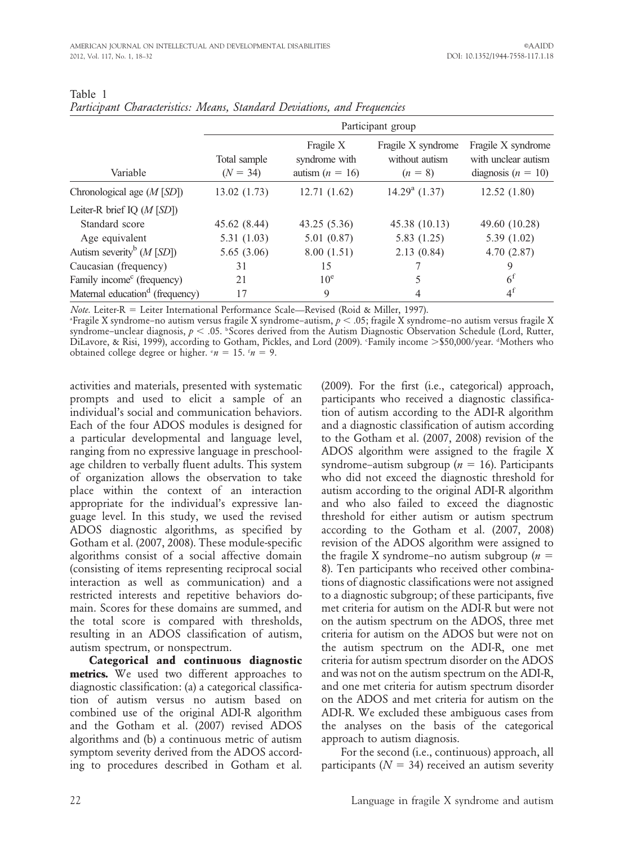|                                                        | Participant group          |                                                   |                                                   |                                                                     |  |  |
|--------------------------------------------------------|----------------------------|---------------------------------------------------|---------------------------------------------------|---------------------------------------------------------------------|--|--|
| Variable                                               | Total sample<br>$(N = 34)$ | Fragile X<br>syndrome with<br>autism ( $n = 16$ ) | Fragile X syndrome<br>without autism<br>$(n = 8)$ | Fragile X syndrome<br>with unclear autism<br>diagnosis ( $n = 10$ ) |  |  |
| Chronological age $(M$ [SD])                           | 13.02(1.73)                | 12.71(1.62)                                       | $14.29a$ (1.37)                                   | 12.52(1.80)                                                         |  |  |
| Leiter-R brief IQ $(M$ [SD])                           |                            |                                                   |                                                   |                                                                     |  |  |
| Standard score                                         | 45.62 (8.44)               | 43.25(5.36)                                       | 45.38 (10.13)                                     | 49.60 (10.28)                                                       |  |  |
| Age equivalent                                         | 5.31(1.03)                 | 5.01(0.87)                                        | 5.83(1.25)                                        | 5.39 $(1.02)$                                                       |  |  |
| Autism severity <sup>b</sup> ( <i>M</i> [ <i>SD</i> ]) | 5.65(3.06)                 | 8.00(1.51)                                        | 2.13(0.84)                                        | 4.70(2.87)                                                          |  |  |
| Caucasian (frequency)                                  | 31                         | 15                                                |                                                   | 9                                                                   |  |  |
| Family income <sup>c</sup> (frequency)                 | 21                         | 10 <sup>e</sup>                                   |                                                   | 6 <sup>f</sup>                                                      |  |  |
| Maternal education <sup>d</sup> (frequency)            | 17                         | 9                                                 | 4                                                 | $4^{\rm f}$                                                         |  |  |

## Table 1 Participant Characteristics: Means, Standard Deviations, and Frequencies

Note. Leiter-R = Leiter International Performance Scale—Revised (Roid & Miller, 1997).

ªFragile X syndrome–no autism versus fragile X syndrome–autism,  $p$  < .05; fragile X syndrome–no autism versus fragile X syndrome–unclear diagnosis,  $p < .05$ . bScores derived from the Autism Diagnostic Observation Schedule (Lord, Rutter, DiLavore, & Risi, 1999), according to Gotham, Pickles, and Lord (2009). °Family income >\$50,000/year. ªMothers who obtained college degree or higher.  $e_n = 15$ .  $f_n = 9$ .

activities and materials, presented with systematic prompts and used to elicit a sample of an individual's social and communication behaviors. Each of the four ADOS modules is designed for a particular developmental and language level, ranging from no expressive language in preschoolage children to verbally fluent adults. This system of organization allows the observation to take place within the context of an interaction appropriate for the individual's expressive language level. In this study, we used the revised ADOS diagnostic algorithms, as specified by Gotham et al. (2007, 2008). These module-specific algorithms consist of a social affective domain (consisting of items representing reciprocal social interaction as well as communication) and a restricted interests and repetitive behaviors domain. Scores for these domains are summed, and the total score is compared with thresholds, resulting in an ADOS classification of autism, autism spectrum, or nonspectrum.

Categorical and continuous diagnostic metrics. We used two different approaches to diagnostic classification: (a) a categorical classification of autism versus no autism based on combined use of the original ADI-R algorithm and the Gotham et al. (2007) revised ADOS algorithms and (b) a continuous metric of autism symptom severity derived from the ADOS according to procedures described in Gotham et al.

(2009). For the first (i.e., categorical) approach, participants who received a diagnostic classification of autism according to the ADI-R algorithm and a diagnostic classification of autism according to the Gotham et al. (2007, 2008) revision of the ADOS algorithm were assigned to the fragile X syndrome–autism subgroup ( $n = 16$ ). Participants who did not exceed the diagnostic threshold for autism according to the original ADI-R algorithm and who also failed to exceed the diagnostic threshold for either autism or autism spectrum according to the Gotham et al. (2007, 2008) revision of the ADOS algorithm were assigned to the fragile X syndrome–no autism subgroup ( $n =$ 8). Ten participants who received other combinations of diagnostic classifications were not assigned to a diagnostic subgroup; of these participants, five met criteria for autism on the ADI-R but were not on the autism spectrum on the ADOS, three met criteria for autism on the ADOS but were not on the autism spectrum on the ADI-R, one met criteria for autism spectrum disorder on the ADOS and was not on the autism spectrum on the ADI-R, and one met criteria for autism spectrum disorder on the ADOS and met criteria for autism on the ADI-R. We excluded these ambiguous cases from the analyses on the basis of the categorical approach to autism diagnosis.

For the second (i.e., continuous) approach, all participants ( $N = 34$ ) received an autism severity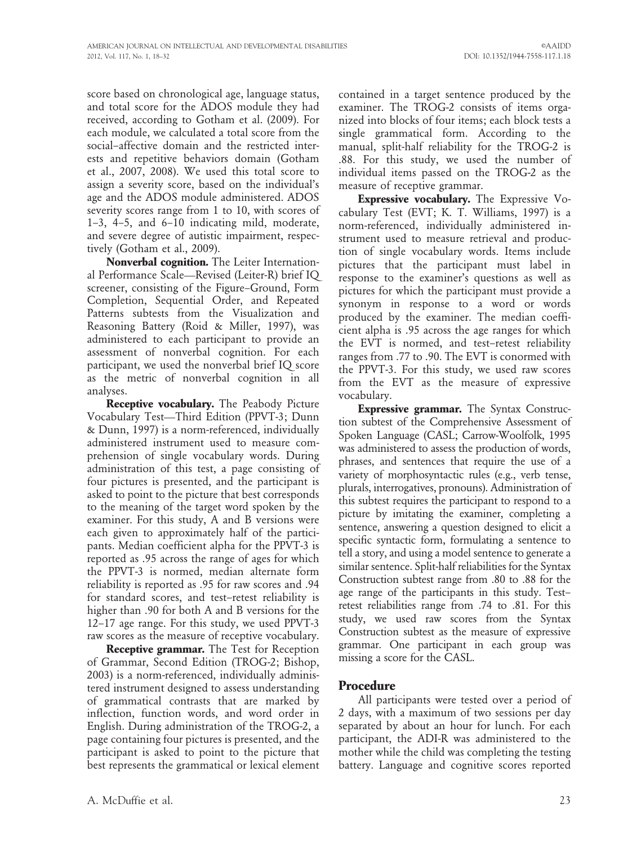score based on chronological age, language status, and total score for the ADOS module they had received, according to Gotham et al. (2009). For each module, we calculated a total score from the social–affective domain and the restricted interests and repetitive behaviors domain (Gotham et al., 2007, 2008). We used this total score to assign a severity score, based on the individual's age and the ADOS module administered. ADOS severity scores range from 1 to 10, with scores of 1–3, 4–5, and 6–10 indicating mild, moderate, and severe degree of autistic impairment, respectively (Gotham et al., 2009).

Nonverbal cognition. The Leiter International Performance Scale—Revised (Leiter-R) brief IQ screener, consisting of the Figure–Ground, Form Completion, Sequential Order, and Repeated Patterns subtests from the Visualization and Reasoning Battery (Roid & Miller, 1997), was administered to each participant to provide an assessment of nonverbal cognition. For each participant, we used the nonverbal brief IQ score as the metric of nonverbal cognition in all analyses.

**Receptive vocabulary.** The Peabody Picture Vocabulary Test—Third Edition (PPVT-3; Dunn & Dunn, 1997) is a norm-referenced, individually administered instrument used to measure comprehension of single vocabulary words. During administration of this test, a page consisting of four pictures is presented, and the participant is asked to point to the picture that best corresponds to the meaning of the target word spoken by the examiner. For this study, A and B versions were each given to approximately half of the participants. Median coefficient alpha for the PPVT-3 is reported as .95 across the range of ages for which the PPVT-3 is normed, median alternate form reliability is reported as .95 for raw scores and .94 for standard scores, and test–retest reliability is higher than .90 for both A and B versions for the 12–17 age range. For this study, we used PPVT-3 raw scores as the measure of receptive vocabulary.

**Receptive grammar.** The Test for Reception of Grammar, Second Edition (TROG-2; Bishop, 2003) is a norm-referenced, individually administered instrument designed to assess understanding of grammatical contrasts that are marked by inflection, function words, and word order in English. During administration of the TROG-2, a page containing four pictures is presented, and the participant is asked to point to the picture that best represents the grammatical or lexical element contained in a target sentence produced by the examiner. The TROG-2 consists of items organized into blocks of four items; each block tests a single grammatical form. According to the manual, split-half reliability for the TROG-2 is .88. For this study, we used the number of individual items passed on the TROG-2 as the measure of receptive grammar.

Expressive vocabulary. The Expressive Vocabulary Test (EVT; K. T. Williams, 1997) is a norm-referenced, individually administered instrument used to measure retrieval and production of single vocabulary words. Items include pictures that the participant must label in response to the examiner's questions as well as pictures for which the participant must provide a synonym in response to a word or words produced by the examiner. The median coefficient alpha is .95 across the age ranges for which the EVT is normed, and test–retest reliability ranges from .77 to .90. The EVT is conormed with the PPVT-3. For this study, we used raw scores from the EVT as the measure of expressive vocabulary.

Expressive grammar. The Syntax Construction subtest of the Comprehensive Assessment of Spoken Language (CASL; Carrow-Woolfolk, 1995 was administered to assess the production of words, phrases, and sentences that require the use of a variety of morphosyntactic rules (e.g., verb tense, plurals, interrogatives, pronouns). Administration of this subtest requires the participant to respond to a picture by imitating the examiner, completing a sentence, answering a question designed to elicit a specific syntactic form, formulating a sentence to tell a story, and using a model sentence to generate a similar sentence. Split-half reliabilities for the Syntax Construction subtest range from .80 to .88 for the age range of the participants in this study. Test– retest reliabilities range from .74 to .81. For this study, we used raw scores from the Syntax Construction subtest as the measure of expressive grammar. One participant in each group was missing a score for the CASL.

# Procedure

All participants were tested over a period of 2 days, with a maximum of two sessions per day separated by about an hour for lunch. For each participant, the ADI-R was administered to the mother while the child was completing the testing battery. Language and cognitive scores reported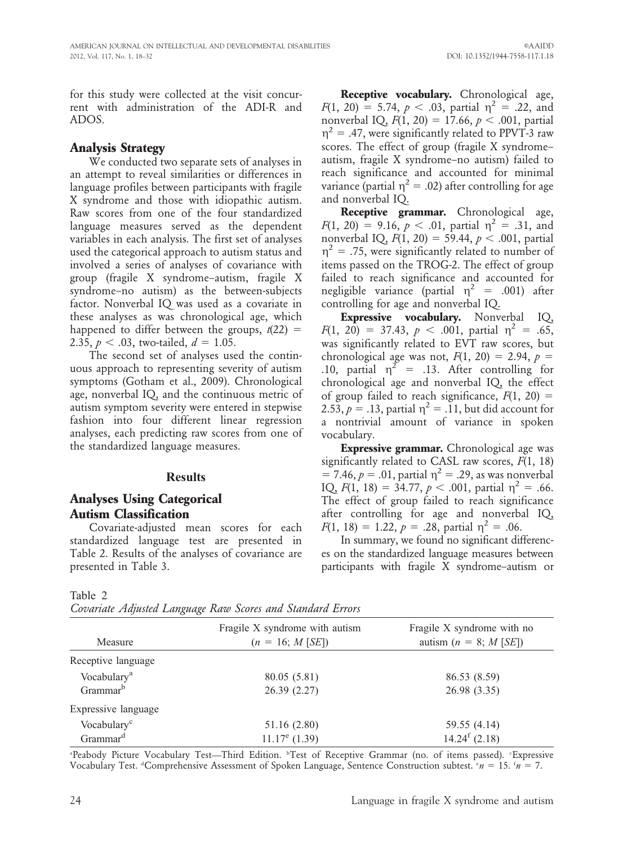for this study were collected at the visit concurrent with administration of the ADI-R and ADOS.

# Analysis Strategy

We conducted two separate sets of analyses in an attempt to reveal similarities or differences in language profiles between participants with fragile X syndrome and those with idiopathic autism. Raw scores from one of the four standardized language measures served as the dependent variables in each analysis. The first set of analyses used the categorical approach to autism status and involved a series of analyses of covariance with group (fragile X syndrome–autism, fragile X syndrome–no autism) as the between-subjects factor. Nonverbal IQ was used as a covariate in these analyses as was chronological age, which happened to differ between the groups,  $t(22) =$ 2.35,  $p < .03$ , two-tailed,  $d = 1.05$ .

The second set of analyses used the continuous approach to representing severity of autism symptoms (Gotham et al., 2009). Chronological age, nonverbal IQ, and the continuous metric of autism symptom severity were entered in stepwise fashion into four different linear regression analyses, each predicting raw scores from one of the standardized language measures.

## **Results**

# Analyses Using Categorical Autism Classification

Covariate-adjusted mean scores for each standardized language test are presented in Table 2. Results of the analyses of covariance are presented in Table 3.

Receptive vocabulary. Chronological age,  $F(1, 20) = 5.74, p < .03$ , partial  $\eta^2 = .22$ , and nonverbal IQ,  $F(1, 20) = 17.66$ ,  $p < .001$ , partial  $\eta^2$  = .47, were significantly related to PPVT-3 raw scores. The effect of group (fragile X syndrome– autism, fragile X syndrome–no autism) failed to reach significance and accounted for minimal variance (partial  $\eta^2 = .02$ ) after controlling for age and nonverbal IQ.

Receptive grammar. Chronological age,  $F(1, 20) = 9.16, p < .01$ , partial  $\eta^2 = .31$ , and nonverbal IQ,  $F(1, 20) = 59.44$ ,  $p < .001$ , partial  $\eta^2$  = .75, were significantly related to number of items passed on the TROG-2. The effect of group failed to reach significance and accounted for negligible variance (partial  $\eta^2$  = .001) after controlling for age and nonverbal IQ.

Expressive vocabulary. Nonverbal IQ,  $F(1, 20) = 37.43, p < .001$ , partial  $\eta^2 = .65$ , was significantly related to EVT raw scores, but chronological age was not,  $F(1, 20) = 2.94$ ,  $p =$ .10, partial  $\eta^2$  = .13. After controlling for chronological age and nonverbal IQ, the effect of group failed to reach significance,  $F(1, 20) =$ 2.53,  $p = .13$ , partial  $\eta^2 = .11$ , but did account for a nontrivial amount of variance in spoken vocabulary.

Expressive grammar. Chronological age was significantly related to CASL raw scores,  $F(1, 18)$  $= 7.46, p = .01$ , partial  $\eta^2 = .29$ , as was nonverbal IQ,  $F(1, 18) = 34.77$ ,  $p < .001$ , partial  $\eta^2 = .66$ . The effect of group failed to reach significance after controlling for age and nonverbal IQ,  $F(1, 18) = 1.22, p = .28$ , partial  $\eta^2 = .06$ .

In summary, we found no significant differences on the standardized language measures between participants with fragile X syndrome–autism or

#### Table 2

| Covariate Adjusted Language Raw Scores and Standard Errors |  |  |  |  |  |  |  |
|------------------------------------------------------------|--|--|--|--|--|--|--|
|------------------------------------------------------------|--|--|--|--|--|--|--|

| Fragile X syndrome with autism<br>$(n = 16; M[SE])$ | Fragile X syndrome with no<br>autism $(n = 8; M[SE])$ |  |  |  |
|-----------------------------------------------------|-------------------------------------------------------|--|--|--|
|                                                     |                                                       |  |  |  |
| 80.05(5.81)                                         | 86.53 (8.59)                                          |  |  |  |
| 26.39(2.27)                                         | 26.98 (3.35)                                          |  |  |  |
|                                                     |                                                       |  |  |  |
| 51.16 (2.80)                                        | 59.55 (4.14)                                          |  |  |  |
| $11.17^e$ (1.39)                                    | $14.24^{f}$ (2.18)                                    |  |  |  |
|                                                     |                                                       |  |  |  |

"Peabody Picture Vocabulary Test—Third Edition. "Test of Receptive Grammar (no. of items passed). "Expressive Vocabulary Test. "Comprehensive Assessment of Spoken Language, Sentence Construction subtest.  $r = 15$ .  $r = 7$ .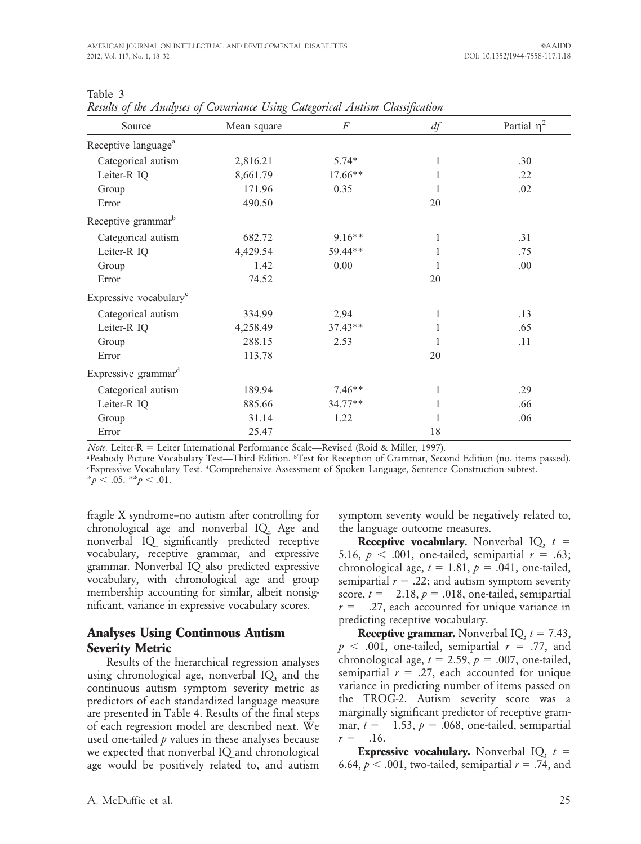| Table |
|-------|
|-------|

| Source                             | Mean square | F<br>df   |    | Partial $\eta^2$ |
|------------------------------------|-------------|-----------|----|------------------|
| Receptive language <sup>a</sup>    |             |           |    |                  |
| Categorical autism                 | 2,816.21    | $5.74*$   | 1  | .30              |
| Leiter-R IQ                        | 8,661.79    | 17.66**   |    | .22              |
| Group                              | 171.96      | 0.35      |    | .02              |
| Error                              | 490.50      |           | 20 |                  |
| Receptive grammar <sup>b</sup>     |             |           |    |                  |
| Categorical autism                 | 682.72      | $9.16**$  | 1  | .31              |
| Leiter-R IQ                        | 4,429.54    | 59.44**   |    | .75              |
| Group                              | 1.42        | 0.00      |    | .00              |
| Error                              | 74.52       |           | 20 |                  |
| Expressive vocabulary <sup>c</sup> |             |           |    |                  |
| Categorical autism                 | 334.99      | 2.94      | 1  | .13              |
| Leiter-R IQ                        | 4,258.49    | $37.43**$ | 1  | .65              |
| Group                              | 288.15      | 2.53      |    | .11              |
| Error                              | 113.78      |           | 20 |                  |
| Expressive grammar <sup>d</sup>    |             |           |    |                  |
| Categorical autism                 | 189.94      | $7.46**$  |    | .29              |
| Leiter-R IQ                        | 885.66      | 34.77**   | 1  | .66              |
| Group                              | 31.14       | 1.22      |    | .06              |
| Error                              | 25.47       |           | 18 |                  |

Note. Leiter-R = Leiter International Performance Scale—Revised (Roid & Miller, 1997).

a Peabody Picture Vocabulary Test—Third Edition. <sup>b</sup> Test for Reception of Grammar, Second Edition (no. items passed). c Expressive Vocabulary Test. <sup>d</sup> Comprehensive Assessment of Spoken Language, Sentence Construction subtest. \*  $p < .05.$  \*\*  $p < .01.$ 

fragile X syndrome–no autism after controlling for chronological age and nonverbal IQ. Age and nonverbal IQ significantly predicted receptive vocabulary, receptive grammar, and expressive grammar. Nonverbal IQ also predicted expressive vocabulary, with chronological age and group membership accounting for similar, albeit nonsignificant, variance in expressive vocabulary scores.

# Analyses Using Continuous Autism Severity Metric

Results of the hierarchical regression analyses using chronological age, nonverbal IQ, and the continuous autism symptom severity metric as predictors of each standardized language measure are presented in Table 4. Results of the final steps of each regression model are described next. We used one-tailed  $p$  values in these analyses because we expected that nonverbal IQ and chronological age would be positively related to, and autism

symptom severity would be negatively related to, the language outcome measures.

**Receptive vocabulary.** Nonverbal IQ,  $t =$ 5.16,  $p < .001$ , one-tailed, semipartial  $r = .63$ ; chronological age,  $t = 1.81$ ,  $p = .041$ , one-tailed, semipartial  $r = .22$ ; and autism symptom severity score,  $t = -2.18$ ,  $p = .018$ , one-tailed, semipartial  $r = -0.27$ , each accounted for unique variance in predicting receptive vocabulary.

**Receptive grammar.** Nonverbal IQ,  $t = 7.43$ ,  $p < .001$ , one-tailed, semipartial  $r = .77$ , and chronological age,  $t = 2.59$ ,  $p = .007$ , one-tailed, semipartial  $r = .27$ , each accounted for unique variance in predicting number of items passed on the TROG-2. Autism severity score was a marginally significant predictor of receptive grammar,  $t = -1.53$ ,  $p = .068$ , one-tailed, semipartial  $r = -.16$ .

**Expressive vocabulary.** Nonverbal IQ,  $t =$ 6.64,  $p < .001$ , two-tailed, semipartial  $r = .74$ , and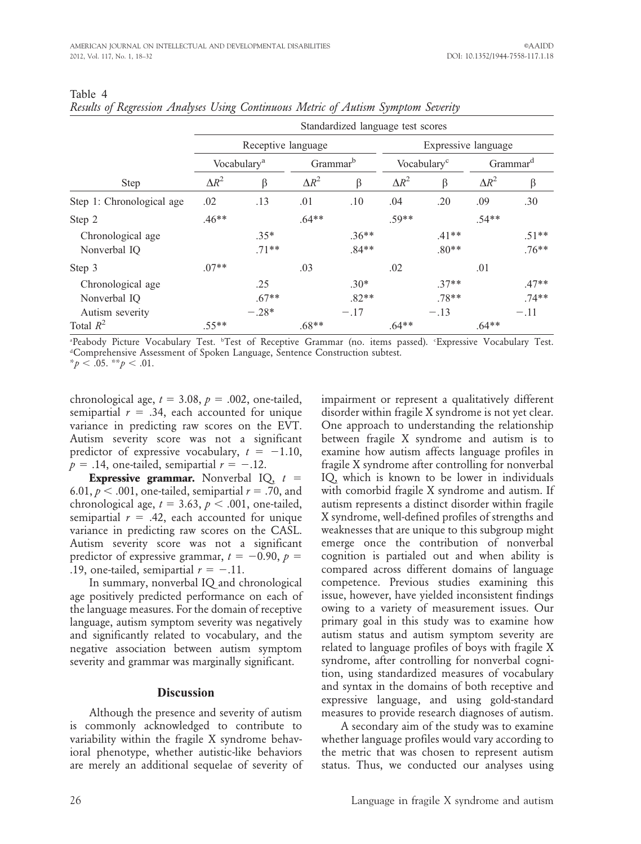|                           | Standardized language test scores |         |                      |         |                         |         |                      |          |
|---------------------------|-----------------------------------|---------|----------------------|---------|-------------------------|---------|----------------------|----------|
| Step                      | Receptive language                |         |                      |         | Expressive language     |         |                      |          |
|                           | Vocabulary <sup>a</sup>           |         | Grammar <sup>b</sup> |         | Vocabulary <sup>c</sup> |         | Grammar <sup>d</sup> |          |
|                           | $\Delta R^2$                      | β       | $\Delta R^2$         | ß       | $\Delta R^2$            | β       | $\Delta R^2$         | $\beta$  |
| Step 1: Chronological age | .02                               | .13     | .01                  | .10     | .04                     | .20     | .09                  | .30      |
| Step 2                    | $.46**$                           |         | $.64**$              |         | $.59**$                 |         | $.54**$              |          |
| Chronological age         |                                   | $.35*$  |                      | $.36**$ |                         | $.41**$ |                      | $.51**$  |
| Nonverbal IQ              |                                   | $.71**$ |                      | $.84**$ |                         | $.80**$ |                      | $.76***$ |
| Step 3                    | $.07**$                           |         | .03                  |         | .02                     |         | .01                  |          |
| Chronological age         |                                   | .25     |                      | $.30*$  |                         | $.37**$ |                      | $.47**$  |
| Nonverbal IO              |                                   | $.67**$ |                      | $.82**$ |                         | $.78**$ |                      | $.74**$  |
| Autism severity           |                                   | $-.28*$ |                      | $-.17$  |                         | $-.13$  |                      | $-.11$   |
| Total $R^2$               | $.55**$                           |         | $.68**$              |         | $.64**$                 |         | $.64**$              |          |

#### Table 4 Results of Regression Analyses Using Continuous Metric of Autism Symptom Severity

"Peabody Picture Vocabulary Test. "Test of Receptive Grammar (no. items passed). "Expressive Vocabulary Test. d Comprehensive Assessment of Spoken Language, Sentence Construction subtest. \*  $p < .05.$  \*\*  $p < .01.$ 

chronological age,  $t = 3.08$ ,  $p = .002$ , one-tailed, semipartial  $r = .34$ , each accounted for unique variance in predicting raw scores on the EVT. Autism severity score was not a significant predictor of expressive vocabulary,  $t = -1.10$ ,  $p = .14$ , one-tailed, semipartial  $r = -.12$ .

**Expressive grammar.** Nonverbal IQ,  $t =$ 6.01,  $p < .001$ , one-tailed, semipartial  $r = .70$ , and chronological age,  $t = 3.63$ ,  $p < .001$ , one-tailed, semipartial  $r = .42$ , each accounted for unique variance in predicting raw scores on the CASL. Autism severity score was not a significant predictor of expressive grammar,  $t = -0.90$ ,  $p =$ .19, one-tailed, semipartial  $r = -.11$ .

In summary, nonverbal IQ and chronological age positively predicted performance on each of the language measures. For the domain of receptive language, autism symptom severity was negatively and significantly related to vocabulary, and the negative association between autism symptom severity and grammar was marginally significant.

#### **Discussion**

Although the presence and severity of autism is commonly acknowledged to contribute to variability within the fragile X syndrome behavioral phenotype, whether autistic-like behaviors are merely an additional sequelae of severity of impairment or represent a qualitatively different disorder within fragile X syndrome is not yet clear. One approach to understanding the relationship between fragile X syndrome and autism is to examine how autism affects language profiles in fragile X syndrome after controlling for nonverbal IQ, which is known to be lower in individuals with comorbid fragile X syndrome and autism. If autism represents a distinct disorder within fragile X syndrome, well-defined profiles of strengths and weaknesses that are unique to this subgroup might emerge once the contribution of nonverbal cognition is partialed out and when ability is compared across different domains of language competence. Previous studies examining this issue, however, have yielded inconsistent findings owing to a variety of measurement issues. Our primary goal in this study was to examine how autism status and autism symptom severity are related to language profiles of boys with fragile X syndrome, after controlling for nonverbal cognition, using standardized measures of vocabulary and syntax in the domains of both receptive and expressive language, and using gold-standard measures to provide research diagnoses of autism.

A secondary aim of the study was to examine whether language profiles would vary according to the metric that was chosen to represent autism status. Thus, we conducted our analyses using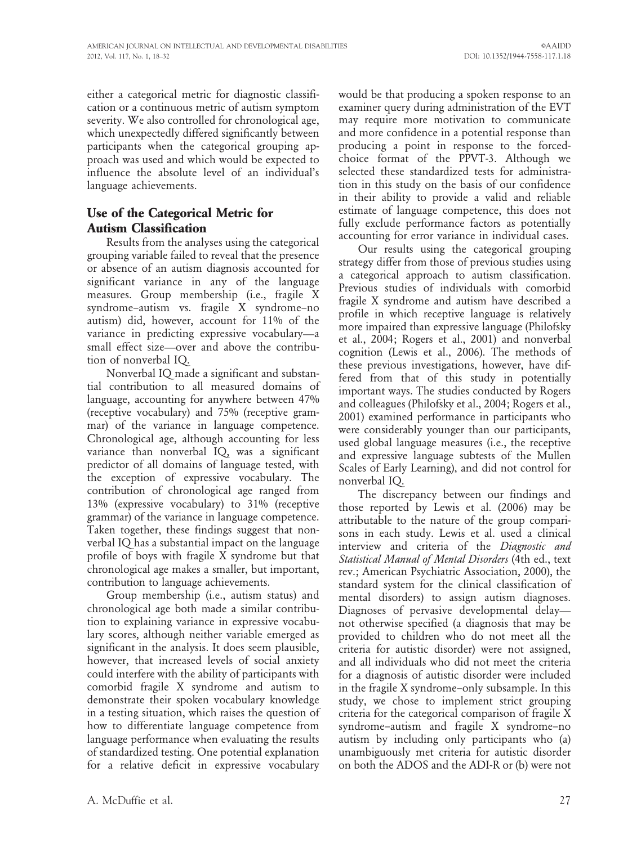either a categorical metric for diagnostic classification or a continuous metric of autism symptom severity. We also controlled for chronological age, which unexpectedly differed significantly between participants when the categorical grouping approach was used and which would be expected to influence the absolute level of an individual's language achievements.

# Use of the Categorical Metric for Autism Classification

Results from the analyses using the categorical grouping variable failed to reveal that the presence or absence of an autism diagnosis accounted for significant variance in any of the language measures. Group membership (i.e., fragile X syndrome–autism vs. fragile X syndrome–no autism) did, however, account for 11% of the variance in predicting expressive vocabulary—a small effect size—over and above the contribution of nonverbal IQ.

Nonverbal IQ made a significant and substantial contribution to all measured domains of language, accounting for anywhere between 47% (receptive vocabulary) and 75% (receptive grammar) of the variance in language competence. Chronological age, although accounting for less variance than nonverbal IQ, was a significant predictor of all domains of language tested, with the exception of expressive vocabulary. The contribution of chronological age ranged from 13% (expressive vocabulary) to 31% (receptive grammar) of the variance in language competence. Taken together, these findings suggest that nonverbal IQ has a substantial impact on the language profile of boys with fragile X syndrome but that chronological age makes a smaller, but important, contribution to language achievements.

Group membership (i.e., autism status) and chronological age both made a similar contribution to explaining variance in expressive vocabulary scores, although neither variable emerged as significant in the analysis. It does seem plausible, however, that increased levels of social anxiety could interfere with the ability of participants with comorbid fragile X syndrome and autism to demonstrate their spoken vocabulary knowledge in a testing situation, which raises the question of how to differentiate language competence from language performance when evaluating the results of standardized testing. One potential explanation for a relative deficit in expressive vocabulary would be that producing a spoken response to an examiner query during administration of the EVT may require more motivation to communicate and more confidence in a potential response than producing a point in response to the forcedchoice format of the PPVT-3. Although we selected these standardized tests for administration in this study on the basis of our confidence in their ability to provide a valid and reliable estimate of language competence, this does not fully exclude performance factors as potentially accounting for error variance in individual cases.

Our results using the categorical grouping strategy differ from those of previous studies using a categorical approach to autism classification. Previous studies of individuals with comorbid fragile X syndrome and autism have described a profile in which receptive language is relatively more impaired than expressive language (Philofsky et al., 2004; Rogers et al., 2001) and nonverbal cognition (Lewis et al., 2006). The methods of these previous investigations, however, have differed from that of this study in potentially important ways. The studies conducted by Rogers and colleagues (Philofsky et al., 2004; Rogers et al., 2001) examined performance in participants who were considerably younger than our participants, used global language measures (i.e., the receptive and expressive language subtests of the Mullen Scales of Early Learning), and did not control for nonverbal IQ.

The discrepancy between our findings and those reported by Lewis et al. (2006) may be attributable to the nature of the group comparisons in each study. Lewis et al. used a clinical interview and criteria of the Diagnostic and Statistical Manual of Mental Disorders (4th ed., text rev.; American Psychiatric Association, 2000), the standard system for the clinical classification of mental disorders) to assign autism diagnoses. Diagnoses of pervasive developmental delay not otherwise specified (a diagnosis that may be provided to children who do not meet all the criteria for autistic disorder) were not assigned, and all individuals who did not meet the criteria for a diagnosis of autistic disorder were included in the fragile X syndrome–only subsample. In this study, we chose to implement strict grouping criteria for the categorical comparison of fragile X syndrome–autism and fragile X syndrome–no autism by including only participants who (a) unambiguously met criteria for autistic disorder on both the ADOS and the ADI-R or (b) were not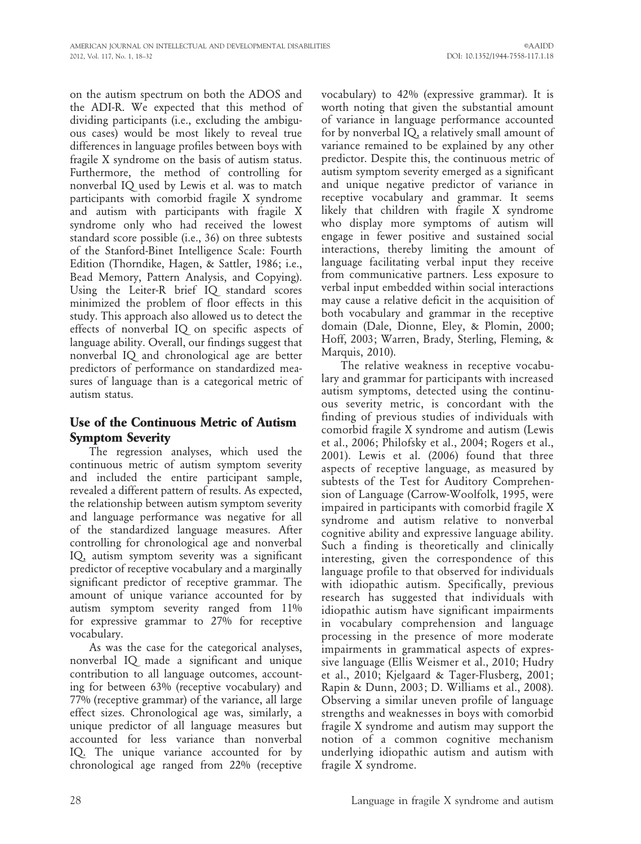on the autism spectrum on both the ADOS and the ADI-R. We expected that this method of dividing participants (i.e., excluding the ambiguous cases) would be most likely to reveal true differences in language profiles between boys with fragile X syndrome on the basis of autism status. Furthermore, the method of controlling for nonverbal IQ used by Lewis et al. was to match participants with comorbid fragile X syndrome and autism with participants with fragile X syndrome only who had received the lowest standard score possible (i.e., 36) on three subtests of the Stanford-Binet Intelligence Scale: Fourth Edition (Thorndike, Hagen, & Sattler, 1986; i.e., Bead Memory, Pattern Analysis, and Copying). Using the Leiter-R brief IQ standard scores minimized the problem of floor effects in this study. This approach also allowed us to detect the effects of nonverbal IQ on specific aspects of language ability. Overall, our findings suggest that nonverbal IQ and chronological age are better predictors of performance on standardized measures of language than is a categorical metric of autism status.

# Use of the Continuous Metric of Autism Symptom Severity

The regression analyses, which used the continuous metric of autism symptom severity and included the entire participant sample, revealed a different pattern of results. As expected, the relationship between autism symptom severity and language performance was negative for all of the standardized language measures. After controlling for chronological age and nonverbal IQ, autism symptom severity was a significant predictor of receptive vocabulary and a marginally significant predictor of receptive grammar. The amount of unique variance accounted for by autism symptom severity ranged from 11% for expressive grammar to 27% for receptive vocabulary.

As was the case for the categorical analyses, nonverbal IQ made a significant and unique contribution to all language outcomes, accounting for between 63% (receptive vocabulary) and 77% (receptive grammar) of the variance, all large effect sizes. Chronological age was, similarly, a unique predictor of all language measures but accounted for less variance than nonverbal IQ. The unique variance accounted for by chronological age ranged from 22% (receptive

vocabulary) to 42% (expressive grammar). It is worth noting that given the substantial amount of variance in language performance accounted for by nonverbal IQ, a relatively small amount of variance remained to be explained by any other predictor. Despite this, the continuous metric of autism symptom severity emerged as a significant and unique negative predictor of variance in receptive vocabulary and grammar. It seems likely that children with fragile X syndrome who display more symptoms of autism will engage in fewer positive and sustained social interactions, thereby limiting the amount of language facilitating verbal input they receive from communicative partners. Less exposure to verbal input embedded within social interactions may cause a relative deficit in the acquisition of both vocabulary and grammar in the receptive domain (Dale, Dionne, Eley, & Plomin, 2000; Hoff, 2003; Warren, Brady, Sterling, Fleming, & Marquis, 2010).

The relative weakness in receptive vocabulary and grammar for participants with increased autism symptoms, detected using the continuous severity metric, is concordant with the finding of previous studies of individuals with comorbid fragile X syndrome and autism (Lewis et al., 2006; Philofsky et al., 2004; Rogers et al., 2001). Lewis et al. (2006) found that three aspects of receptive language, as measured by subtests of the Test for Auditory Comprehension of Language (Carrow-Woolfolk, 1995, were impaired in participants with comorbid fragile X syndrome and autism relative to nonverbal cognitive ability and expressive language ability. Such a finding is theoretically and clinically interesting, given the correspondence of this language profile to that observed for individuals with idiopathic autism. Specifically, previous research has suggested that individuals with idiopathic autism have significant impairments in vocabulary comprehension and language processing in the presence of more moderate impairments in grammatical aspects of expressive language (Ellis Weismer et al., 2010; Hudry et al., 2010; Kjelgaard & Tager-Flusberg, 2001; Rapin & Dunn, 2003; D. Williams et al., 2008). Observing a similar uneven profile of language strengths and weaknesses in boys with comorbid fragile X syndrome and autism may support the notion of a common cognitive mechanism underlying idiopathic autism and autism with fragile X syndrome.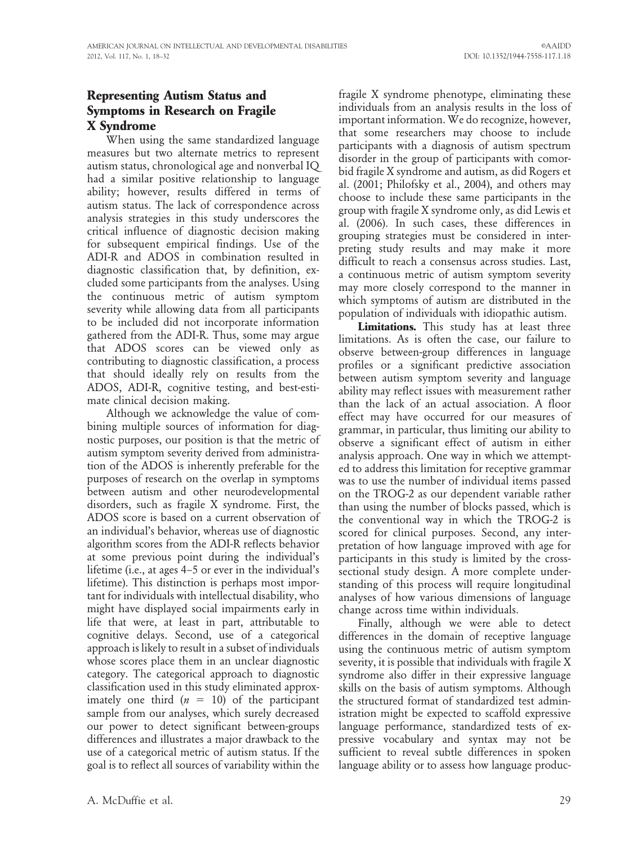# Representing Autism Status and Symptoms in Research on Fragile X Syndrome

When using the same standardized language measures but two alternate metrics to represent autism status, chronological age and nonverbal IQ had a similar positive relationship to language ability; however, results differed in terms of autism status. The lack of correspondence across analysis strategies in this study underscores the critical influence of diagnostic decision making for subsequent empirical findings. Use of the ADI-R and ADOS in combination resulted in diagnostic classification that, by definition, excluded some participants from the analyses. Using the continuous metric of autism symptom severity while allowing data from all participants to be included did not incorporate information gathered from the ADI-R. Thus, some may argue that ADOS scores can be viewed only as contributing to diagnostic classification, a process that should ideally rely on results from the ADOS, ADI-R, cognitive testing, and best-estimate clinical decision making.

Although we acknowledge the value of combining multiple sources of information for diagnostic purposes, our position is that the metric of autism symptom severity derived from administration of the ADOS is inherently preferable for the purposes of research on the overlap in symptoms between autism and other neurodevelopmental disorders, such as fragile X syndrome. First, the ADOS score is based on a current observation of an individual's behavior, whereas use of diagnostic algorithm scores from the ADI-R reflects behavior at some previous point during the individual's lifetime (i.e., at ages 4–5 or ever in the individual's lifetime). This distinction is perhaps most important for individuals with intellectual disability, who might have displayed social impairments early in life that were, at least in part, attributable to cognitive delays. Second, use of a categorical approach is likely to result in a subset of individuals whose scores place them in an unclear diagnostic category. The categorical approach to diagnostic classification used in this study eliminated approximately one third  $(n = 10)$  of the participant sample from our analyses, which surely decreased our power to detect significant between-groups differences and illustrates a major drawback to the use of a categorical metric of autism status. If the goal is to reflect all sources of variability within the

fragile X syndrome phenotype, eliminating these individuals from an analysis results in the loss of important information. We do recognize, however, that some researchers may choose to include participants with a diagnosis of autism spectrum disorder in the group of participants with comorbid fragile X syndrome and autism, as did Rogers et al. (2001; Philofsky et al., 2004), and others may choose to include these same participants in the group with fragile X syndrome only, as did Lewis et al. (2006). In such cases, these differences in grouping strategies must be considered in interpreting study results and may make it more difficult to reach a consensus across studies. Last, a continuous metric of autism symptom severity may more closely correspond to the manner in which symptoms of autism are distributed in the population of individuals with idiopathic autism.

**Limitations.** This study has at least three limitations. As is often the case, our failure to observe between-group differences in language profiles or a significant predictive association between autism symptom severity and language ability may reflect issues with measurement rather than the lack of an actual association. A floor effect may have occurred for our measures of grammar, in particular, thus limiting our ability to observe a significant effect of autism in either analysis approach. One way in which we attempted to address this limitation for receptive grammar was to use the number of individual items passed on the TROG-2 as our dependent variable rather than using the number of blocks passed, which is the conventional way in which the TROG-2 is scored for clinical purposes. Second, any interpretation of how language improved with age for participants in this study is limited by the crosssectional study design. A more complete understanding of this process will require longitudinal analyses of how various dimensions of language change across time within individuals.

Finally, although we were able to detect differences in the domain of receptive language using the continuous metric of autism symptom severity, it is possible that individuals with fragile X syndrome also differ in their expressive language skills on the basis of autism symptoms. Although the structured format of standardized test administration might be expected to scaffold expressive language performance, standardized tests of expressive vocabulary and syntax may not be sufficient to reveal subtle differences in spoken language ability or to assess how language produc-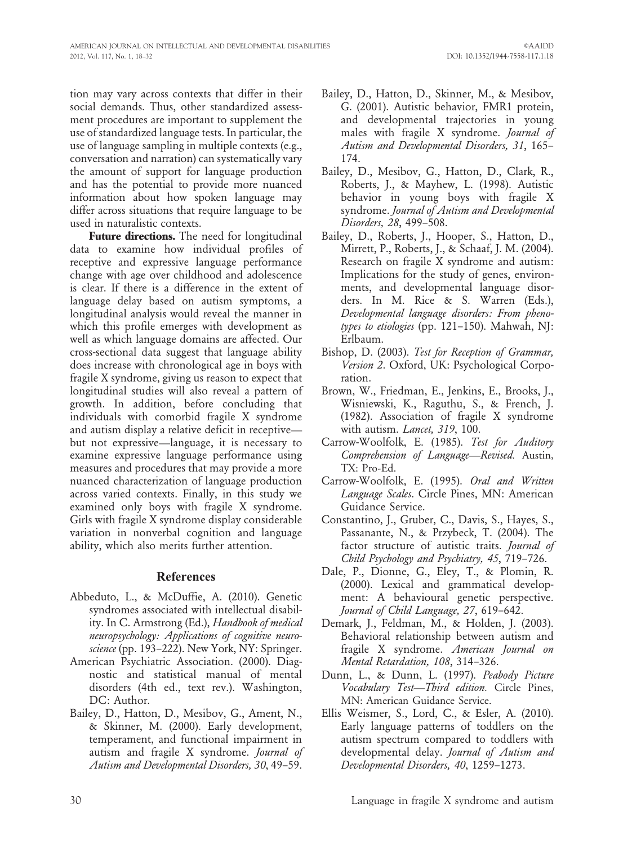tion may vary across contexts that differ in their social demands. Thus, other standardized assessment procedures are important to supplement the use of standardized language tests. In particular, the use of language sampling in multiple contexts (e.g., conversation and narration) can systematically vary the amount of support for language production and has the potential to provide more nuanced information about how spoken language may differ across situations that require language to be used in naturalistic contexts.

**Future directions.** The need for longitudinal data to examine how individual profiles of receptive and expressive language performance change with age over childhood and adolescence is clear. If there is a difference in the extent of language delay based on autism symptoms, a longitudinal analysis would reveal the manner in which this profile emerges with development as well as which language domains are affected. Our cross-sectional data suggest that language ability does increase with chronological age in boys with fragile X syndrome, giving us reason to expect that longitudinal studies will also reveal a pattern of growth. In addition, before concluding that individuals with comorbid fragile X syndrome and autism display a relative deficit in receptive but not expressive—language, it is necessary to examine expressive language performance using measures and procedures that may provide a more nuanced characterization of language production across varied contexts. Finally, in this study we examined only boys with fragile X syndrome. Girls with fragile X syndrome display considerable variation in nonverbal cognition and language ability, which also merits further attention.

#### References

- Abbeduto, L., & McDuffie, A. (2010). Genetic syndromes associated with intellectual disability. In C. Armstrong (Ed.), Handbook of medical neuropsychology: Applications of cognitive neuroscience (pp. 193-222). New York, NY: Springer.
- American Psychiatric Association. (2000). Diagnostic and statistical manual of mental disorders (4th ed., text rev.). Washington, DC: Author.
- Bailey, D., Hatton, D., Mesibov, G., Ament, N., & Skinner, M. (2000). Early development, temperament, and functional impairment in autism and fragile X syndrome. Journal of Autism and Developmental Disorders, 30, 49–59.
- Bailey, D., Hatton, D., Skinner, M., & Mesibov, G. (2001). Autistic behavior, FMR1 protein, and developmental trajectories in young males with fragile X syndrome. Journal of Autism and Developmental Disorders, 31, 165– 174.
- Bailey, D., Mesibov, G., Hatton, D., Clark, R., Roberts, J., & Mayhew, L. (1998). Autistic behavior in young boys with fragile X syndrome. Journal of Autism and Developmental Disorders, 28, 499–508.
- Bailey, D., Roberts, J., Hooper, S., Hatton, D., Mirrett, P., Roberts, J., & Schaaf, J. M. (2004). Research on fragile X syndrome and autism: Implications for the study of genes, environments, and developmental language disorders. In M. Rice & S. Warren (Eds.), Developmental language disorders: From phenotypes to etiologies (pp. 121–150). Mahwah, NJ: Erlbaum.
- Bishop, D. (2003). Test for Reception of Grammar, Version 2. Oxford, UK: Psychological Corporation.
- Brown, W., Friedman, E., Jenkins, E., Brooks, J., Wisniewski, K., Raguthu, S., & French, J. (1982). Association of fragile X syndrome with autism. *Lancet*, 319, 100.
- Carrow-Woolfolk, E. (1985). Test for Auditory Comprehension of Language—Revised. Austin, TX: Pro-Ed.
- Carrow-Woolfolk, E. (1995). Oral and Written Language Scales. Circle Pines, MN: American Guidance Service.
- Constantino, J., Gruber, C., Davis, S., Hayes, S., Passanante, N., & Przybeck, T. (2004). The factor structure of autistic traits. Journal of Child Psychology and Psychiatry, 45, 719–726.
- Dale, P., Dionne, G., Eley, T., & Plomin, R. (2000). Lexical and grammatical development: A behavioural genetic perspective. Journal of Child Language, 27, 619–642.
- Demark, J., Feldman, M., & Holden, J. (2003). Behavioral relationship between autism and fragile X syndrome. American Journal on Mental Retardation, 108, 314–326.
- Dunn, L., & Dunn, L. (1997). Peabody Picture Vocabulary Test—Third edition. Circle Pines, MN: American Guidance Service.
- Ellis Weismer, S., Lord, C., & Esler, A. (2010). Early language patterns of toddlers on the autism spectrum compared to toddlers with developmental delay. Journal of Autism and Developmental Disorders, 40, 1259–1273.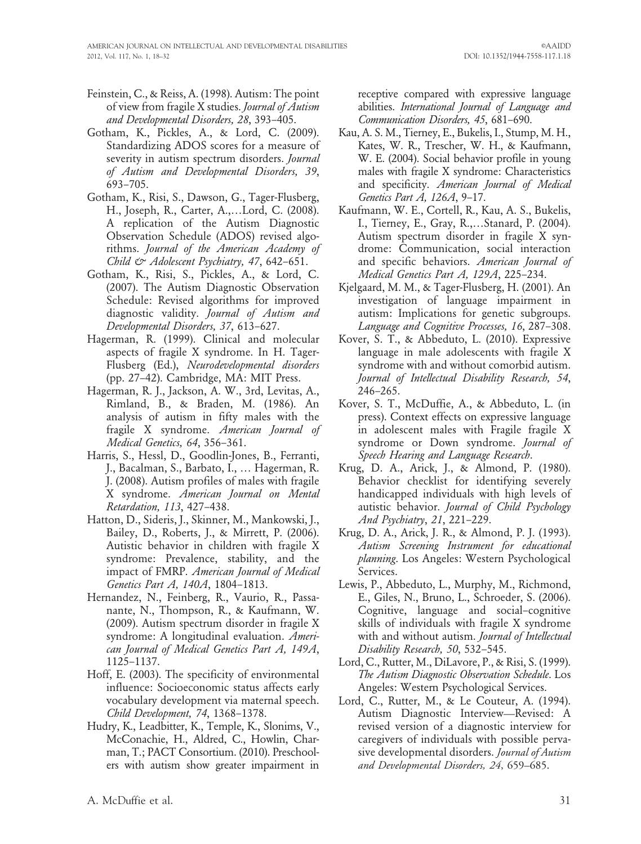- Feinstein, C., & Reiss, A. (1998). Autism: The point of view from fragile X studies. Journal of Autism and Developmental Disorders, 28, 393–405.
- Gotham, K., Pickles, A., & Lord, C. (2009). Standardizing ADOS scores for a measure of severity in autism spectrum disorders. Journal of Autism and Developmental Disorders, 39, 693–705.
- Gotham, K., Risi, S., Dawson, G., Tager-Flusberg, H., Joseph, R., Carter, A.,…Lord, C. (2008). A replication of the Autism Diagnostic Observation Schedule (ADOS) revised algorithms. Journal of the American Academy of Child & Adolescent Psychiatry, 47, 642-651.
- Gotham, K., Risi, S., Pickles, A., & Lord, C. (2007). The Autism Diagnostic Observation Schedule: Revised algorithms for improved diagnostic validity. Journal of Autism and Developmental Disorders, 37, 613–627.
- Hagerman, R. (1999). Clinical and molecular aspects of fragile X syndrome. In H. Tager-Flusberg (Ed.), Neurodevelopmental disorders (pp. 27–42). Cambridge, MA: MIT Press.
- Hagerman, R. J., Jackson, A. W., 3rd, Levitas, A., Rimland, B., & Braden, M. (1986). An analysis of autism in fifty males with the fragile X syndrome. American Journal of Medical Genetics, 64, 356–361.
- Harris, S., Hessl, D., Goodlin-Jones, B., Ferranti, J., Bacalman, S., Barbato, I., … Hagerman, R. J. (2008). Autism profiles of males with fragile X syndrome. American Journal on Mental Retardation, 113, 427–438.
- Hatton, D., Sideris, J., Skinner, M., Mankowski, J., Bailey, D., Roberts, J., & Mirrett, P. (2006). Autistic behavior in children with fragile X syndrome: Prevalence, stability, and the impact of FMRP. American Journal of Medical Genetics Part A, 140A, 1804–1813.
- Hernandez, N., Feinberg, R., Vaurio, R., Passanante, N., Thompson, R., & Kaufmann, W. (2009). Autism spectrum disorder in fragile X syndrome: A longitudinal evaluation. American Journal of Medical Genetics Part A, 149A, 1125–1137.
- Hoff, E. (2003). The specificity of environmental influence: Socioeconomic status affects early vocabulary development via maternal speech. Child Development, 74, 1368–1378.
- Hudry, K., Leadbitter, K., Temple, K., Slonims, V., McConachie, H., Aldred, C., Howlin, Charman, T.; PACT Consortium. (2010). Preschoolers with autism show greater impairment in

receptive compared with expressive language abilities. International Journal of Language and Communication Disorders, 45, 681–690.

- Kau, A. S. M., Tierney, E., Bukelis, I., Stump, M. H., Kates, W. R., Trescher, W. H., & Kaufmann, W. E. (2004). Social behavior profile in young males with fragile X syndrome: Characteristics and specificity. American Journal of Medical Genetics Part A, 126A, 9–17.
- Kaufmann, W. E., Cortell, R., Kau, A. S., Bukelis, I., Tierney, E., Gray, R.,…Stanard, P. (2004). Autism spectrum disorder in fragile X syndrome: Communication, social interaction and specific behaviors. American Journal of Medical Genetics Part A, 129A, 225–234.
- Kjelgaard, M. M., & Tager-Flusberg, H. (2001). An investigation of language impairment in autism: Implications for genetic subgroups. Language and Cognitive Processes, 16, 287–308.
- Kover, S. T., & Abbeduto, L. (2010). Expressive language in male adolescents with fragile X syndrome with and without comorbid autism. Journal of Intellectual Disability Research, 54, 246–265.
- Kover, S. T., McDuffie, A., & Abbeduto, L. (in press). Context effects on expressive language in adolescent males with Fragile fragile X syndrome or Down syndrome. Journal of Speech Hearing and Language Research.
- Krug, D. A., Arick, J., & Almond, P. (1980). Behavior checklist for identifying severely handicapped individuals with high levels of autistic behavior. Journal of Child Psychology And Psychiatry, 21, 221–229.
- Krug, D. A., Arick, J. R., & Almond, P. J. (1993). Autism Screening Instrument for educational planning. Los Angeles: Western Psychological Services.
- Lewis, P., Abbeduto, L., Murphy, M., Richmond, E., Giles, N., Bruno, L., Schroeder, S. (2006). Cognitive, language and social–cognitive skills of individuals with fragile X syndrome with and without autism. Journal of Intellectual Disability Research, 50, 532–545.
- Lord, C., Rutter, M., DiLavore, P., & Risi, S. (1999). The Autism Diagnostic Observation Schedule. Los Angeles: Western Psychological Services.
- Lord, C., Rutter, M., & Le Couteur, A. (1994). Autism Diagnostic Interview—Revised: A revised version of a diagnostic interview for caregivers of individuals with possible pervasive developmental disorders. Journal of Autism and Developmental Disorders, 24, 659–685.